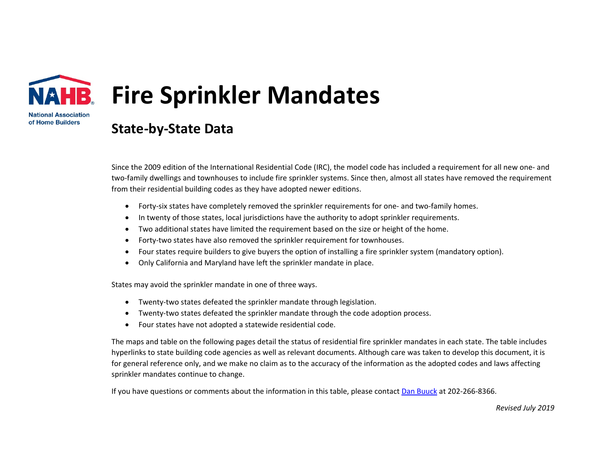

## **Fire Sprinkler Mandates**

**State-by-State Data**

Since the 2009 edition of the International Residential Code (IRC), the model code has included a requirement for all new one- and two-family dwellings and townhouses to include fire sprinkler systems. Since then, almost all states have removed the requirement from their residential building codes as they have adopted newer editions.

- Forty-six states have completely removed the sprinkler requirements for one- and two-family homes.
- In twenty of those states, local jurisdictions have the authority to adopt sprinkler requirements.
- Two additional states have limited the requirement based on the size or height of the home.
- Forty-two states have also removed the sprinkler requirement for townhouses.
- Four states require builders to give buyers the option of installing a fire sprinkler system (mandatory option).
- Only California and Maryland have left the sprinkler mandate in place.

States may avoid the sprinkler mandate in one of three ways.

- Twenty-two states defeated the sprinkler mandate through legislation.
- Twenty-two states defeated the sprinkler mandate through the code adoption process.
- Four states have not adopted a statewide residential code.

The maps and table on the following pages detail the status of residential fire sprinkler mandates in each state. The table includes hyperlinks to state building code agencies as well as relevant documents. Although care was taken to develop this document, it is for general reference only, and we make no claim as to the accuracy of the information as the adopted codes and laws affecting sprinkler mandates continue to change.

If you have questions or comments about the information in this table, please contact [Dan Buuck](mailto:dbuuck@nahb.org?subject=Fire%20Sprinkler%20Mandates) at 202-266-8366.

*Revised July 2019*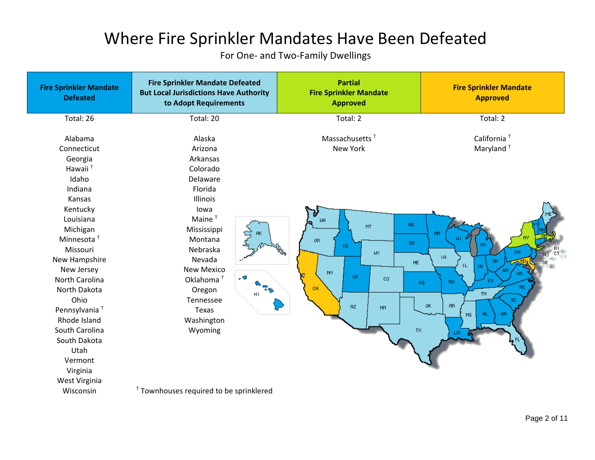## Where Fire Sprinkler Mandates Have Been Defeated

For One- and Two-Family Dwellings

| <b>Fire Sprinkler Mandate</b><br><b>Defeated</b>                                                                                                                                                                                                                                                                          | <b>Fire Sprinkler Mandate Defeated</b><br><b>But Local Jurisdictions Have Authority</b><br>to Adopt Requirements                                                                                                                                                                   | <b>Partial</b><br><b>Fire Sprinkler Mandate</b><br><b>Approved</b>                                                                                                            | <b>Fire Sprinkler Mandate</b><br><b>Approved</b>                                                                                                                                                                                  |
|---------------------------------------------------------------------------------------------------------------------------------------------------------------------------------------------------------------------------------------------------------------------------------------------------------------------------|------------------------------------------------------------------------------------------------------------------------------------------------------------------------------------------------------------------------------------------------------------------------------------|-------------------------------------------------------------------------------------------------------------------------------------------------------------------------------|-----------------------------------------------------------------------------------------------------------------------------------------------------------------------------------------------------------------------------------|
| Total: 26                                                                                                                                                                                                                                                                                                                 | Total: 20                                                                                                                                                                                                                                                                          | Total: 2                                                                                                                                                                      | Total: 2                                                                                                                                                                                                                          |
| Alabama<br>Connecticut<br>Georgia<br>Hawaii <sup>T</sup><br>Idaho<br>Indiana<br>Kansas<br>Kentucky<br>Louisiana<br>Michigan<br>Minnesota <sup>T</sup><br>Missouri<br>New Hampshire<br>New Jersey<br>North Carolina<br>North Dakota<br>Ohio<br>Pennsylvania <sup>T</sup><br>Rhode Island<br>South Carolina<br>South Dakota | Alaska<br>Arizona<br>Arkansas<br>Colorado<br>Delaware<br>Florida<br>Illinois<br>lowa<br>Maine $T$<br>Mississippi<br><b>RK</b><br>Montana<br>Nebraska<br>Nevada<br><b>New Mexico</b><br>Oklahoma <sup>T</sup><br>ີຈັ<br>Oregon<br>HI<br>Tennessee<br>Texas<br>Washington<br>Wyoming | Massachusetts <sup>T</sup><br><b>New York</b><br><b>NR</b><br>ND.<br>MT<br>0R<br>SD.<br>TD.<br><b>WY</b><br>$NE$<br>NU.<br>UT.<br>CO.<br>CR.<br><b>AZ</b><br><b>NM</b><br>TX. | California <sup>T</sup><br>Maryland <sup>T</sup><br><b>MN</b><br>AT.<br>$\frac{R_1}{C_1}$<br>PA<br>TR.<br><b>DE</b><br>TL.<br>K٧<br>MO<br><b>KS</b><br>NC<br><b>TN</b><br>SC.<br>$\alpha$<br><b>AB</b><br>GA.<br>MS<br>-AL<br>LR. |
| Utah<br>Vermont                                                                                                                                                                                                                                                                                                           |                                                                                                                                                                                                                                                                                    |                                                                                                                                                                               |                                                                                                                                                                                                                                   |
| Virginia<br>West Virginia                                                                                                                                                                                                                                                                                                 |                                                                                                                                                                                                                                                                                    |                                                                                                                                                                               |                                                                                                                                                                                                                                   |
| Wisconsin                                                                                                                                                                                                                                                                                                                 | <sup>T</sup> Townhouses required to be sprinklered                                                                                                                                                                                                                                 |                                                                                                                                                                               |                                                                                                                                                                                                                                   |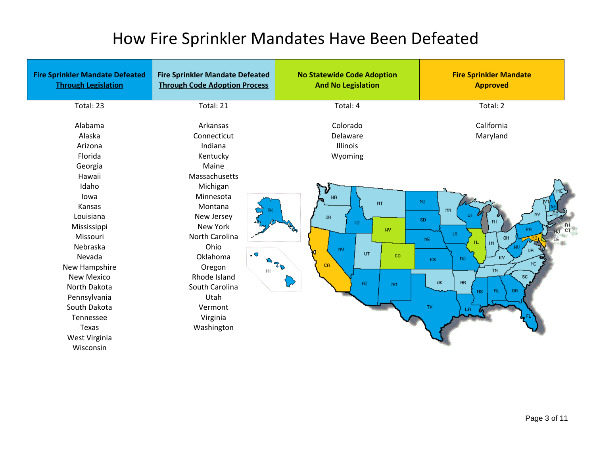## How Fire Sprinkler Mandates Have Been Defeated

| <b>Fire Sprinkler Mandate Defeated</b><br><b>Through Legislation</b>                                                                                                                                                                      | <b>Fire Sprinkler Mandate Defeated</b><br><b>Through Code Adoption Process</b>                                                                                                                                         | <b>No Statewide Code Adoption</b><br><b>And No Legislation</b>                                                  | <b>Fire Sprinkler Mandate</b><br><b>Approved</b>                                                                                                                                                 |
|-------------------------------------------------------------------------------------------------------------------------------------------------------------------------------------------------------------------------------------------|------------------------------------------------------------------------------------------------------------------------------------------------------------------------------------------------------------------------|-----------------------------------------------------------------------------------------------------------------|--------------------------------------------------------------------------------------------------------------------------------------------------------------------------------------------------|
| Total: 23                                                                                                                                                                                                                                 | Total: 21                                                                                                                                                                                                              | Total: 4                                                                                                        | Total: 2                                                                                                                                                                                         |
| Alabama<br>Alaska<br>Arizona<br>Florida<br>Georgia                                                                                                                                                                                        | Arkansas<br>Connecticut<br>Indiana<br>Kentucky<br>Maine                                                                                                                                                                | Colorado<br>Delaware<br>Illinois<br>Wyoming                                                                     | California<br>Maryland                                                                                                                                                                           |
| Hawaii<br>Idaho<br>lowa<br>Kansas<br>Louisiana<br>Mississippi<br>Missouri<br>Nebraska<br>Nevada<br>New Hampshire<br><b>New Mexico</b><br>North Dakota<br>Pennsylvania<br>South Dakota<br>Tennessee<br>Texas<br>West Virginia<br>Wisconsin | Massachusetts<br>Michigan<br>Minnesota<br>Montana<br>New Jersey<br>New York<br>North Carolina<br>Ohio<br>٠O<br>Oklahoma<br>Oregon<br>HI<br>Rhode Island<br>South Carolina<br>Utah<br>Vermont<br>Virginia<br>Washington | <b>UR</b><br>MT<br>OR.<br>TD.<br>WY.<br>NU.<br>UT.<br>co<br>$\sigma^{\varphi}$<br><b>CR</b><br>RZ.<br><b>NM</b> | ND.<br><b>MN</b><br>SD.<br>्म<br>ा<br>TR.<br>$NE$<br>IL.<br><b>IN</b><br>KY.<br>MO.<br><b>KS</b><br>$\rm NC$<br>TN.<br>$\mathsf{SC}$<br><b>BB</b><br>OK.<br>GA<br>-AL<br><b>MS</b><br>TX.<br>LR. |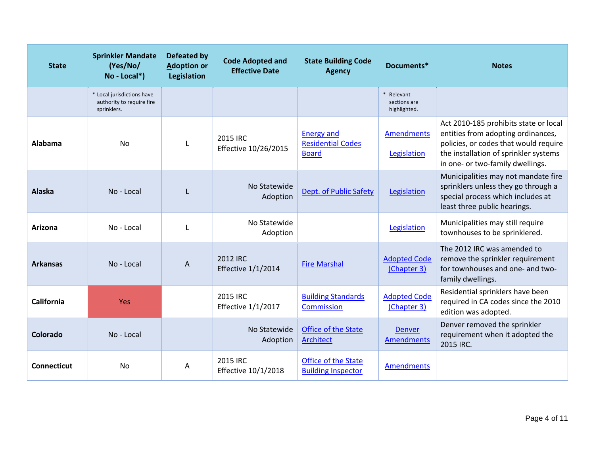| <b>State</b>    | <b>Sprinkler Mandate</b><br>(Yes/No/<br>No - Local*)                   | <b>Defeated by</b><br><b>Adoption or</b><br>Legislation | <b>Code Adopted and</b><br><b>Effective Date</b> | <b>State Building Code</b><br><b>Agency</b>                   | Documents*                                 | <b>Notes</b>                                                                                                                                                                                      |
|-----------------|------------------------------------------------------------------------|---------------------------------------------------------|--------------------------------------------------|---------------------------------------------------------------|--------------------------------------------|---------------------------------------------------------------------------------------------------------------------------------------------------------------------------------------------------|
|                 | * Local jurisdictions have<br>authority to require fire<br>sprinklers. |                                                         |                                                  |                                                               | * Relevant<br>sections are<br>highlighted. |                                                                                                                                                                                                   |
| Alabama         | <b>No</b>                                                              |                                                         | 2015 IRC<br>Effective 10/26/2015                 | <b>Energy and</b><br><b>Residential Codes</b><br><b>Board</b> | Amendments<br>Legislation                  | Act 2010-185 prohibits state or local<br>entities from adopting ordinances,<br>policies, or codes that would require<br>the installation of sprinkler systems<br>in one- or two-family dwellings. |
| <b>Alaska</b>   | No - Local                                                             |                                                         | No Statewide<br>Adoption                         | Dept. of Public Safety                                        | Legislation                                | Municipalities may not mandate fire<br>sprinklers unless they go through a<br>special process which includes at<br>least three public hearings.                                                   |
| Arizona         | No - Local                                                             |                                                         | No Statewide<br>Adoption                         |                                                               | Legislation                                | Municipalities may still require<br>townhouses to be sprinklered.                                                                                                                                 |
| <b>Arkansas</b> | No - Local                                                             | A                                                       | 2012 IRC<br><b>Effective 1/1/2014</b>            | <b>Fire Marshal</b>                                           | <b>Adopted Code</b><br>(Chapter 3)         | The 2012 IRC was amended to<br>remove the sprinkler requirement<br>for townhouses and one- and two-<br>family dwellings.                                                                          |
| California      | Yes                                                                    |                                                         | 2015 IRC<br><b>Effective 1/1/2017</b>            | <b>Building Standards</b><br>Commission                       | <b>Adopted Code</b><br>(Chapter 3)         | Residential sprinklers have been<br>required in CA codes since the 2010<br>edition was adopted.                                                                                                   |
| Colorado        | No - Local                                                             |                                                         | No Statewide<br>Adoption                         | Office of the State<br>Architect                              | <b>Denver</b><br>Amendments                | Denver removed the sprinkler<br>requirement when it adopted the<br>2015 IRC.                                                                                                                      |
| Connecticut     | <b>No</b>                                                              | Α                                                       | 2015 IRC<br>Effective 10/1/2018                  | Office of the State<br><b>Building Inspector</b>              | <b>Amendments</b>                          |                                                                                                                                                                                                   |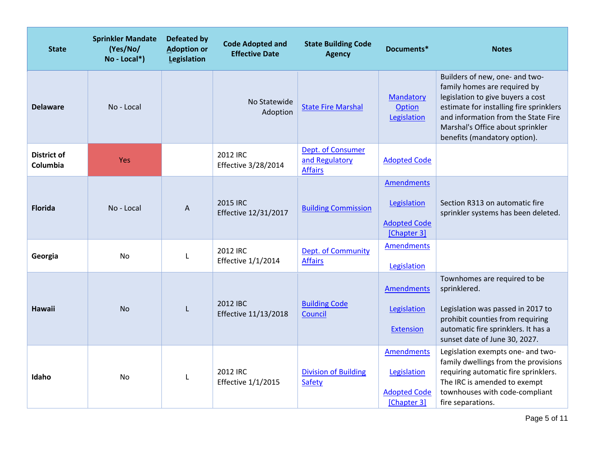| <b>State</b>            | <b>Sprinkler Mandate</b><br>(Yes/No/<br>No - Local*) | <b>Defeated by</b><br><b>Adoption or</b><br>Legislation | <b>Code Adopted and</b><br><b>Effective Date</b> | <b>State Building Code</b><br><b>Agency</b>           | Documents*                                                             | <b>Notes</b>                                                                                                                                                                                                                                              |
|-------------------------|------------------------------------------------------|---------------------------------------------------------|--------------------------------------------------|-------------------------------------------------------|------------------------------------------------------------------------|-----------------------------------------------------------------------------------------------------------------------------------------------------------------------------------------------------------------------------------------------------------|
| <b>Delaware</b>         | No - Local                                           |                                                         | No Statewide<br>Adoption                         | <b>State Fire Marshal</b>                             | <b>Mandatory</b><br>Option<br>Legislation                              | Builders of new, one- and two-<br>family homes are required by<br>legislation to give buyers a cost<br>estimate for installing fire sprinklers<br>and information from the State Fire<br>Marshal's Office about sprinkler<br>benefits (mandatory option). |
| District of<br>Columbia | Yes                                                  |                                                         | <b>2012 IRC</b><br><b>Effective 3/28/2014</b>    | Dept. of Consumer<br>and Regulatory<br><b>Affairs</b> | <b>Adopted Code</b>                                                    |                                                                                                                                                                                                                                                           |
| <b>Florida</b>          | No - Local                                           | A                                                       | 2015 IRC<br>Effective 12/31/2017                 | <b>Building Commission</b>                            | <b>Amendments</b><br>Legislation<br><b>Adopted Code</b><br>[Chapter 3] | Section R313 on automatic fire<br>sprinkler systems has been deleted.                                                                                                                                                                                     |
| Georgia                 | <b>No</b>                                            | L                                                       | 2012 IRC<br>Effective 1/1/2014                   | Dept. of Community<br><b>Affairs</b>                  | <b>Amendments</b><br>Legislation                                       |                                                                                                                                                                                                                                                           |
| Hawaii                  | <b>No</b>                                            |                                                         | 2012 IBC<br>Effective 11/13/2018                 | <b>Building Code</b><br>Council                       | <b>Amendments</b><br>Legislation<br><b>Extension</b>                   | Townhomes are required to be<br>sprinklered.<br>Legislation was passed in 2017 to<br>prohibit counties from requiring<br>automatic fire sprinklers. It has a<br>sunset date of June 30, 2027.                                                             |
| Idaho                   | <b>No</b>                                            | $\mathbf{L}$                                            | 2012 IRC<br>Effective 1/1/2015                   | <b>Division of Building</b><br>Safety                 | <b>Amendments</b><br>Legislation<br><b>Adopted Code</b><br>[Chapter 3] | Legislation exempts one- and two-<br>family dwellings from the provisions<br>requiring automatic fire sprinklers.<br>The IRC is amended to exempt<br>townhouses with code-compliant<br>fire separations.                                                  |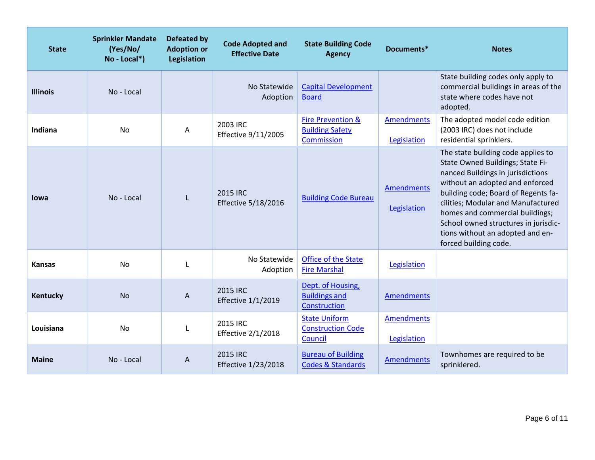| <b>State</b>    | <b>Sprinkler Mandate</b><br>(Yes/No/<br>No - Local*) | <b>Defeated by</b><br><b>Adoption or</b><br>Legislation | <b>Code Adopted and</b><br><b>Effective Date</b> | <b>State Building Code</b><br><b>Agency</b>                          | Documents*                       | <b>Notes</b>                                                                                                                                                                                                                                                                                                                                                        |
|-----------------|------------------------------------------------------|---------------------------------------------------------|--------------------------------------------------|----------------------------------------------------------------------|----------------------------------|---------------------------------------------------------------------------------------------------------------------------------------------------------------------------------------------------------------------------------------------------------------------------------------------------------------------------------------------------------------------|
| <b>Illinois</b> | No - Local                                           |                                                         | No Statewide<br>Adoption                         | <b>Capital Development</b><br><b>Board</b>                           |                                  | State building codes only apply to<br>commercial buildings in areas of the<br>state where codes have not<br>adopted.                                                                                                                                                                                                                                                |
| Indiana         | No                                                   | Α                                                       | 2003 IRC<br>Effective 9/11/2005                  | <b>Fire Prevention &amp;</b><br><b>Building Safety</b><br>Commission | <b>Amendments</b><br>Legislation | The adopted model code edition<br>(2003 IRC) does not include<br>residential sprinklers.                                                                                                                                                                                                                                                                            |
| lowa            | No - Local                                           | $\mathbf{I}$                                            | <b>2015 IRC</b><br><b>Effective 5/18/2016</b>    | <b>Building Code Bureau</b>                                          | <b>Amendments</b><br>Legislation | The state building code applies to<br>State Owned Buildings; State Fi-<br>nanced Buildings in jurisdictions<br>without an adopted and enforced<br>building code; Board of Regents fa-<br>cilities; Modular and Manufactured<br>homes and commercial buildings;<br>School owned structures in jurisdic-<br>tions without an adopted and en-<br>forced building code. |
| <b>Kansas</b>   | <b>No</b>                                            |                                                         | No Statewide<br>Adoption                         | Office of the State<br><b>Fire Marshal</b>                           | Legislation                      |                                                                                                                                                                                                                                                                                                                                                                     |
| Kentucky        | <b>No</b>                                            | Α                                                       | 2015 IRC<br><b>Effective 1/1/2019</b>            | Dept. of Housing,<br><b>Buildings and</b><br>Construction            | <b>Amendments</b>                |                                                                                                                                                                                                                                                                                                                                                                     |
| Louisiana       | <b>No</b>                                            |                                                         | 2015 IRC<br><b>Effective 2/1/2018</b>            | <b>State Uniform</b><br><b>Construction Code</b><br>Council          | <b>Amendments</b><br>Legislation |                                                                                                                                                                                                                                                                                                                                                                     |
| <b>Maine</b>    | No - Local                                           | $\boldsymbol{\mathsf{A}}$                               | 2015 IRC<br><b>Effective 1/23/2018</b>           | <b>Bureau of Building</b><br><b>Codes &amp; Standards</b>            | Amendments                       | Townhomes are required to be<br>sprinklered.                                                                                                                                                                                                                                                                                                                        |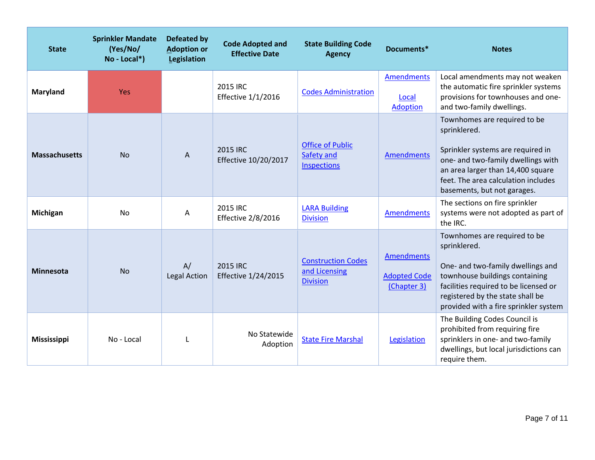| <b>State</b>         | <b>Sprinkler Mandate</b><br>(Yes/No/<br>$No - Local*$ ) | <b>Defeated by</b><br><b>Adoption or</b><br>Legislation | <b>Code Adopted and</b><br><b>Effective Date</b> | <b>State Building Code</b><br><b>Agency</b>                   | Documents*                                       | <b>Notes</b>                                                                                                                                                                                                                              |
|----------------------|---------------------------------------------------------|---------------------------------------------------------|--------------------------------------------------|---------------------------------------------------------------|--------------------------------------------------|-------------------------------------------------------------------------------------------------------------------------------------------------------------------------------------------------------------------------------------------|
| <b>Maryland</b>      | <b>Yes</b>                                              |                                                         | 2015 IRC<br>Effective 1/1/2016                   | <b>Codes Administration</b>                                   | <b>Amendments</b><br>Local<br>Adoption           | Local amendments may not weaken<br>the automatic fire sprinkler systems<br>provisions for townhouses and one-<br>and two-family dwellings.                                                                                                |
| <b>Massachusetts</b> | <b>No</b>                                               | A                                                       | 2015 IRC<br>Effective 10/20/2017                 | <b>Office of Public</b><br>Safety and<br><b>Inspections</b>   | <b>Amendments</b>                                | Townhomes are required to be<br>sprinklered.<br>Sprinkler systems are required in<br>one- and two-family dwellings with<br>an area larger than 14,400 square<br>feet. The area calculation includes<br>basements, but not garages.        |
| Michigan             | <b>No</b>                                               | Α                                                       | 2015 IRC<br><b>Effective 2/8/2016</b>            | <b>LARA Building</b><br><b>Division</b>                       | <b>Amendments</b>                                | The sections on fire sprinkler<br>systems were not adopted as part of<br>the IRC.                                                                                                                                                         |
| <b>Minnesota</b>     | <b>No</b>                                               | A/<br><b>Legal Action</b>                               | 2015 IRC<br><b>Effective 1/24/2015</b>           | <b>Construction Codes</b><br>and Licensing<br><b>Division</b> | Amendments<br><b>Adopted Code</b><br>(Chapter 3) | Townhomes are required to be<br>sprinklered.<br>One- and two-family dwellings and<br>townhouse buildings containing<br>facilities required to be licensed or<br>registered by the state shall be<br>provided with a fire sprinkler system |
| <b>Mississippi</b>   | No - Local                                              |                                                         | No Statewide<br>Adoption                         | <b>State Fire Marshal</b>                                     | Legislation                                      | The Building Codes Council is<br>prohibited from requiring fire<br>sprinklers in one- and two-family<br>dwellings, but local jurisdictions can<br>require them.                                                                           |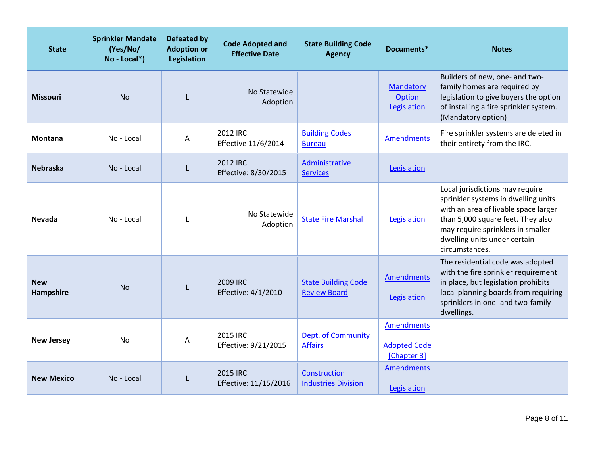| <b>State</b>            | <b>Sprinkler Mandate</b><br>(Yes/No/<br>$No - Local*$ ) | <b>Defeated by</b><br><b>Adoption or</b><br>Legislation | <b>Code Adopted and</b><br><b>Effective Date</b> | <b>State Building Code</b><br><b>Agency</b>       | Documents*                                              | <b>Notes</b>                                                                                                                                                                                                                               |
|-------------------------|---------------------------------------------------------|---------------------------------------------------------|--------------------------------------------------|---------------------------------------------------|---------------------------------------------------------|--------------------------------------------------------------------------------------------------------------------------------------------------------------------------------------------------------------------------------------------|
| <b>Missouri</b>         | <b>No</b>                                               |                                                         | No Statewide<br>Adoption                         |                                                   | Mandatory<br><b>Option</b><br>Legislation               | Builders of new, one- and two-<br>family homes are required by<br>legislation to give buyers the option<br>of installing a fire sprinkler system.<br>(Mandatory option)                                                                    |
| <b>Montana</b>          | No - Local                                              | Α                                                       | 2012 IRC<br>Effective 11/6/2014                  | <b>Building Codes</b><br><b>Bureau</b>            | <b>Amendments</b>                                       | Fire sprinkler systems are deleted in<br>their entirety from the IRC.                                                                                                                                                                      |
| <b>Nebraska</b>         | No - Local                                              | L                                                       | <b>2012 IRC</b><br>Effective: 8/30/2015          | Administrative<br><b>Services</b>                 | Legislation                                             |                                                                                                                                                                                                                                            |
| <b>Nevada</b>           | No - Local                                              | $\mathbf{L}$                                            | No Statewide<br>Adoption                         | <b>State Fire Marshal</b>                         | Legislation                                             | Local jurisdictions may require<br>sprinkler systems in dwelling units<br>with an area of livable space larger<br>than 5,000 square feet. They also<br>may require sprinklers in smaller<br>dwelling units under certain<br>circumstances. |
| <b>New</b><br>Hampshire | <b>No</b>                                               | L                                                       | 2009 IRC<br>Effective: 4/1/2010                  | <b>State Building Code</b><br><b>Review Board</b> | Amendments<br>Legislation                               | The residential code was adopted<br>with the fire sprinkler requirement<br>in place, but legislation prohibits<br>local planning boards from requiring<br>sprinklers in one- and two-family<br>dwellings.                                  |
| <b>New Jersey</b>       | N <sub>0</sub>                                          | Α                                                       | 2015 IRC<br>Effective: 9/21/2015                 | <b>Dept. of Community</b><br><b>Affairs</b>       | <b>Amendments</b><br><b>Adopted Code</b><br>[Chapter 3] |                                                                                                                                                                                                                                            |
| <b>New Mexico</b>       | No - Local                                              |                                                         | <b>2015 IRC</b><br>Effective: 11/15/2016         | Construction<br><b>Industries Division</b>        | <b>Amendments</b><br>Legislation                        |                                                                                                                                                                                                                                            |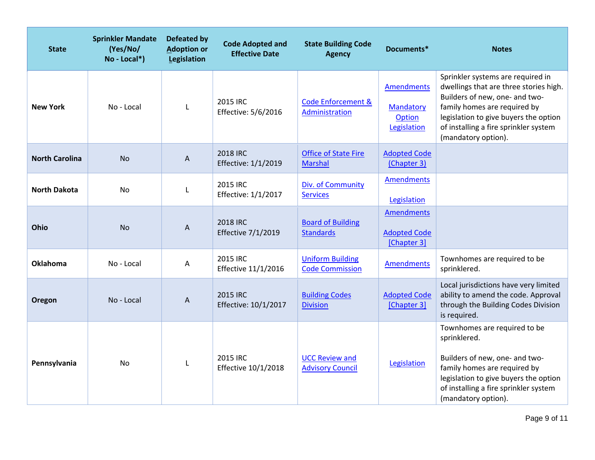| <b>State</b>          | <b>Sprinkler Mandate</b><br>(Yes/No/<br>No - Local*) | <b>Defeated by</b><br><b>Adoption or</b><br>Legislation | <b>Code Adopted and</b><br><b>Effective Date</b> | <b>State Building Code</b><br><b>Agency</b>       | Documents*                                              | <b>Notes</b>                                                                                                                                                                                                                                           |
|-----------------------|------------------------------------------------------|---------------------------------------------------------|--------------------------------------------------|---------------------------------------------------|---------------------------------------------------------|--------------------------------------------------------------------------------------------------------------------------------------------------------------------------------------------------------------------------------------------------------|
| <b>New York</b>       | No - Local                                           |                                                         | 2015 IRC<br>Effective: 5/6/2016                  | <b>Code Enforcement &amp;</b><br>Administration   | <b>Amendments</b><br>Mandatory<br>Option<br>Legislation | Sprinkler systems are required in<br>dwellings that are three stories high.<br>Builders of new, one- and two-<br>family homes are required by<br>legislation to give buyers the option<br>of installing a fire sprinkler system<br>(mandatory option). |
| <b>North Carolina</b> | <b>No</b>                                            | A                                                       | <b>2018 IRC</b><br>Effective: 1/1/2019           | <b>Office of State Fire</b><br><b>Marshal</b>     | <b>Adopted Code</b><br>(Chapter 3)                      |                                                                                                                                                                                                                                                        |
| <b>North Dakota</b>   | <b>No</b>                                            | L                                                       | 2015 IRC<br>Effective: 1/1/2017                  | Div. of Community<br><b>Services</b>              | Amendments<br>Legislation                               |                                                                                                                                                                                                                                                        |
| Ohio                  | <b>No</b>                                            | A                                                       | 2018 IRC<br>Effective 7/1/2019                   | <b>Board of Building</b><br><b>Standards</b>      | <b>Amendments</b><br><b>Adopted Code</b><br>[Chapter 3] |                                                                                                                                                                                                                                                        |
| <b>Oklahoma</b>       | No - Local                                           | Α                                                       | 2015 IRC<br>Effective 11/1/2016                  | <b>Uniform Building</b><br><b>Code Commission</b> | <b>Amendments</b>                                       | Townhomes are required to be<br>sprinklered.                                                                                                                                                                                                           |
| Oregon                | No - Local                                           | A                                                       | 2015 IRC<br>Effective: 10/1/2017                 | <b>Building Codes</b><br><b>Division</b>          | <b>Adopted Code</b><br>[Chapter 3]                      | Local jurisdictions have very limited<br>ability to amend the code. Approval<br>through the Building Codes Division<br>is required.                                                                                                                    |
| Pennsylvania          | <b>No</b>                                            | L                                                       | 2015 IRC<br>Effective 10/1/2018                  | <b>UCC Review and</b><br><b>Advisory Council</b>  | Legislation                                             | Townhomes are required to be<br>sprinklered.<br>Builders of new, one- and two-<br>family homes are required by<br>legislation to give buyers the option<br>of installing a fire sprinkler system<br>(mandatory option).                                |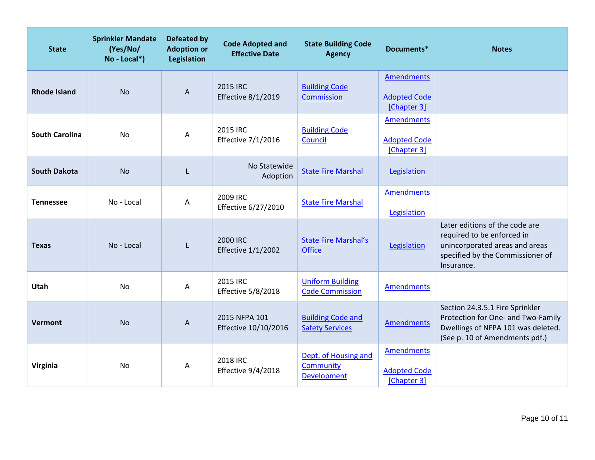| <b>State</b>          | <b>Sprinkler Mandate</b><br>(Yes/No/<br>$No - Local*$ ) | <b>Defeated by</b><br><b>Adoption or</b><br>Legislation | <b>Code Adopted and</b><br><b>Effective Date</b> | <b>State Building Code</b><br><b>Agency</b>             | Documents*                                              | <b>Notes</b>                                                                                                                                     |
|-----------------------|---------------------------------------------------------|---------------------------------------------------------|--------------------------------------------------|---------------------------------------------------------|---------------------------------------------------------|--------------------------------------------------------------------------------------------------------------------------------------------------|
| <b>Rhode Island</b>   | <b>No</b>                                               | $\boldsymbol{\mathsf{A}}$                               | 2015 IRC<br>Effective 8/1/2019                   | <b>Building Code</b><br>Commission                      | <b>Amendments</b><br><b>Adopted Code</b><br>[Chapter 3] |                                                                                                                                                  |
| <b>South Carolina</b> | <b>No</b>                                               | Α                                                       | 2015 IRC<br>Effective 7/1/2016                   | <b>Building Code</b><br>Council                         | <b>Amendments</b><br><b>Adopted Code</b><br>[Chapter 3] |                                                                                                                                                  |
| <b>South Dakota</b>   | <b>No</b>                                               | L                                                       | No Statewide<br>Adoption                         | <b>State Fire Marshal</b>                               | Legislation                                             |                                                                                                                                                  |
| <b>Tennessee</b>      | No - Local                                              | Α                                                       | 2009 IRC<br>Effective 6/27/2010                  | <b>State Fire Marshal</b>                               | <b>Amendments</b><br>Legislation                        |                                                                                                                                                  |
| <b>Texas</b>          | No - Local                                              | L                                                       | 2000 IRC<br><b>Effective 1/1/2002</b>            | <b>State Fire Marshal's</b><br><b>Office</b>            | Legislation                                             | Later editions of the code are<br>required to be enforced in<br>unincorporated areas and areas<br>specified by the Commissioner of<br>Insurance. |
| Utah                  | <b>No</b>                                               | Α                                                       | 2015 IRC<br><b>Effective 5/8/2018</b>            | <b>Uniform Building</b><br><b>Code Commission</b>       | <b>Amendments</b>                                       |                                                                                                                                                  |
| Vermont               | <b>No</b>                                               | Α                                                       | 2015 NFPA 101<br>Effective 10/10/2016            | <b>Building Code and</b><br><b>Safety Services</b>      | <b>Amendments</b>                                       | Section 24.3.5.1 Fire Sprinkler<br>Protection for One- and Two-Family<br>Dwellings of NFPA 101 was deleted.<br>(See p. 10 of Amendments pdf.)    |
| Virginia              | No                                                      | Α                                                       | 2018 IRC<br>Effective 9/4/2018                   | Dept. of Housing and<br>Community<br><b>Development</b> | <b>Amendments</b><br><b>Adopted Code</b><br>[Chapter 3] |                                                                                                                                                  |